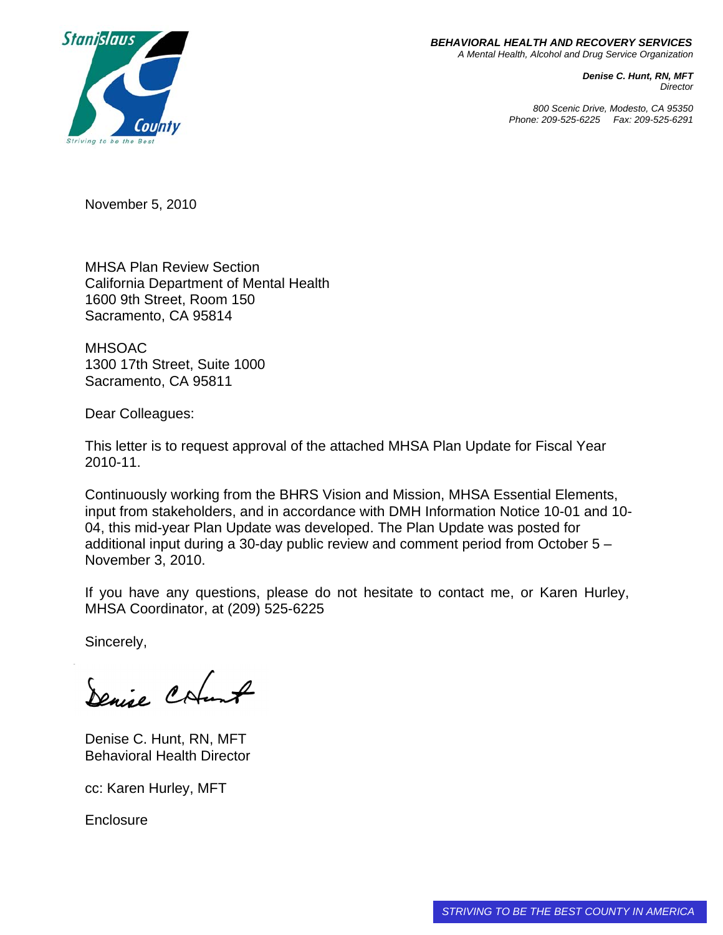

 *BEHAVIORAL HEALTH AND RECOVERY SERVICES A Mental Health, Alcohol and Drug Service Organization* 

> *Denise C. Hunt, RN, MFT Director*

*800 Scenic Drive, Modesto, CA 95350 Phone: 209-525-6225 Fax: 209-525-6291* 

November 5, 2010

MHSA Plan Review Section California Department of Mental Health 1600 9th Street, Room 150 Sacramento, CA 95814

MHSOAC 1300 17th Street, Suite 1000 Sacramento, CA 95811

Dear Colleagues:

This letter is to request approval of the attached MHSA Plan Update for Fiscal Year 2010-11.

Continuously working from the BHRS Vision and Mission, MHSA Essential Elements, input from stakeholders, and in accordance with DMH Information Notice 10-01 and 10- 04, this mid-year Plan Update was developed. The Plan Update was posted for additional input during a 30-day public review and comment period from October 5 – November 3, 2010.

If you have any questions, please do not hesitate to contact me, or Karen Hurley, MHSA Coordinator, at (209) 525-6225

Sincerely,

Denise Colunt

Denise C. Hunt, RN, MFT Behavioral Health Director

cc: Karen Hurley, MFT

**Enclosure**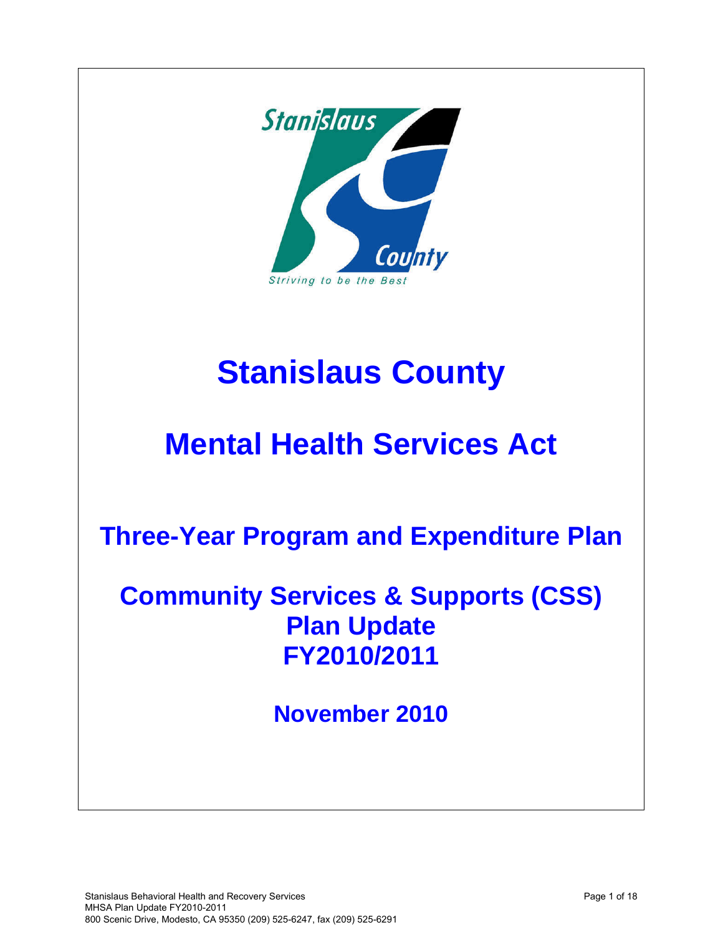

# **Stanislaus County**

# **Mental Health Services Act**

**Three-Year Program and Expenditure Plan** 

## **Community Services & Supports (CSS) Plan Update FY2010/2011**

## **November 2010**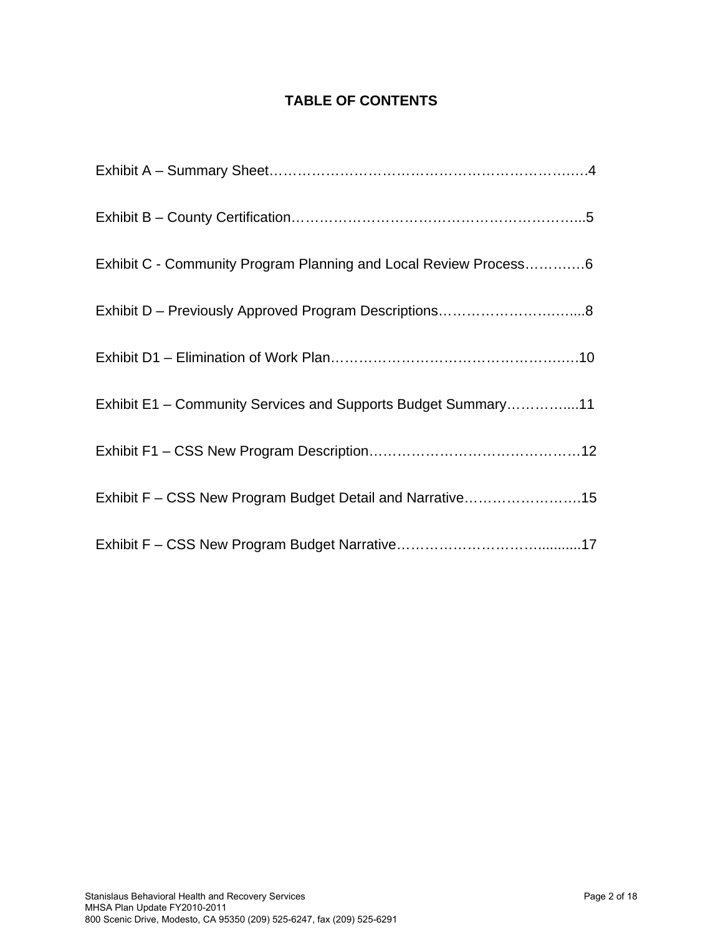### **TABLE OF CONTENTS**

| Exhibit C - Community Program Planning and Local Review Process6 |
|------------------------------------------------------------------|
|                                                                  |
|                                                                  |
| Exhibit E1 - Community Services and Supports Budget Summary11    |
|                                                                  |
| Exhibit F - CSS New Program Budget Detail and Narrative15        |
|                                                                  |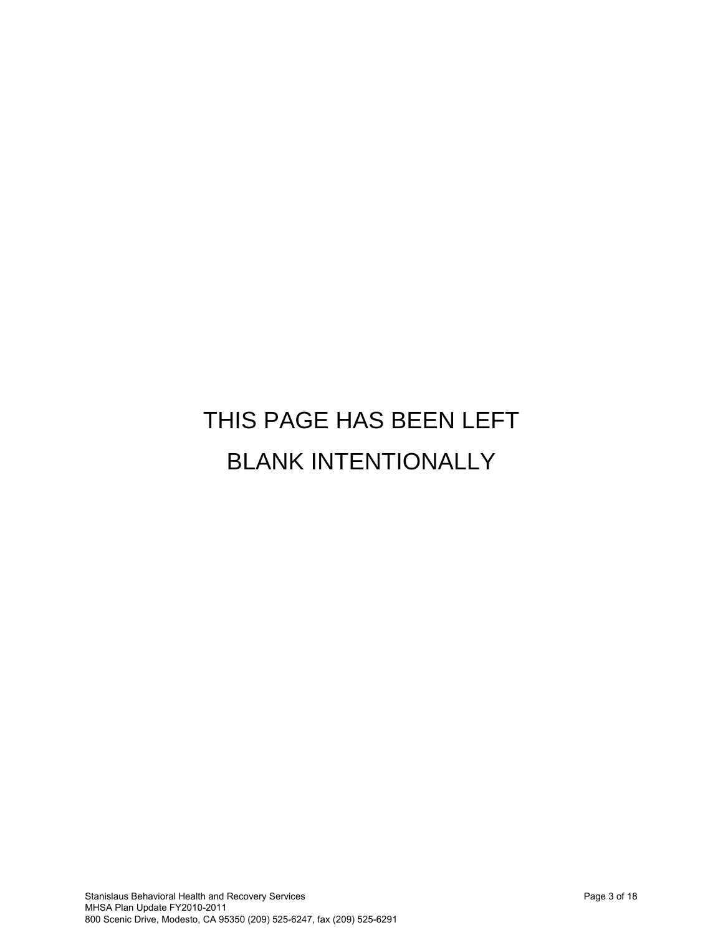## THIS PAGE HAS BEEN LEFT BLANK INTENTIONALLY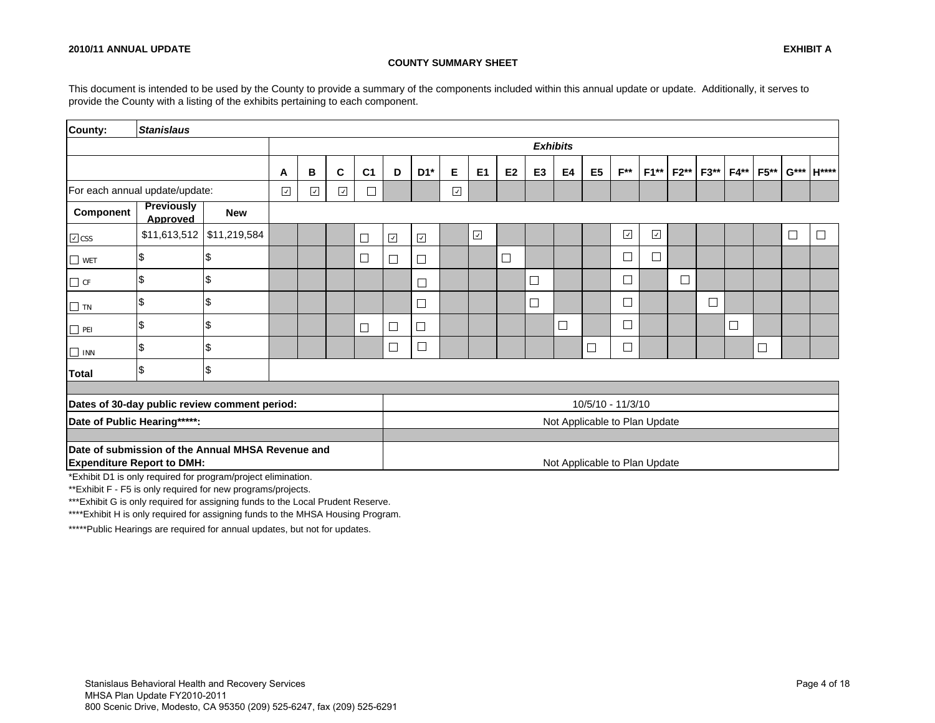### **COUNTY SUMMARY SHEET**

This document is intended to be used by the County to provide a summary of the components included within this annual update or update. Additionally, it serves to provide the County with a listing of the exhibits pertaining to each component.

| County:      | <b>Stanislaus</b>                                                                      |              |                          |                      |                               |                |                                        |                          |                      |                          |                |                |        |                |                      |                          |        |        |        |        |           |        |
|--------------|----------------------------------------------------------------------------------------|--------------|--------------------------|----------------------|-------------------------------|----------------|----------------------------------------|--------------------------|----------------------|--------------------------|----------------|----------------|--------|----------------|----------------------|--------------------------|--------|--------|--------|--------|-----------|--------|
|              |                                                                                        |              |                          |                      | <b>Exhibits</b>               |                |                                        |                          |                      |                          |                |                |        |                |                      |                          |        |        |        |        |           |        |
|              |                                                                                        |              | A                        | в                    | C                             | C <sub>1</sub> | D                                      | D1*                      | Е                    | E <sub>1</sub>           | E <sub>2</sub> | E <sub>3</sub> | E4     | E <sub>5</sub> | $F^{\ast\ast}$       | F1**                     | $F2**$ | F3**   | F4**   | F5**   | $G^{***}$ | $H***$ |
|              | For each annual update/update:                                                         |              | $\overline{\mathcal{L}}$ | $\blacktriangledown$ | ⊡                             | L              |                                        |                          | $\boxed{\checkmark}$ |                          |                |                |        |                |                      |                          |        |        |        |        |           |        |
| Component    | <b>Previously</b><br>Approved                                                          | <b>New</b>   |                          |                      |                               |                |                                        |                          |                      |                          |                |                |        |                |                      |                          |        |        |        |        |           |        |
| $\Box$ css   | \$11,613,512                                                                           | \$11,219,584 |                          |                      |                               | $\Box$         | $\boxed{\textcolor{blue}{\checkmark}}$ | $\overline{\phantom{a}}$ |                      | $\overline{\phantom{a}}$ |                |                |        |                | $\boxed{\checkmark}$ | $\overline{\phantom{a}}$ |        |        |        |        | $\Box$    | □      |
| $\Box$ WET   | Ι\$                                                                                    |              |                          |                      |                               | $\Box$         | $\Box$                                 | $\Box$                   |                      |                          | $\Box$         |                |        |                | $\Box$               | ٦                        |        |        |        |        |           |        |
| $\Box$ CF    | Ŝ.                                                                                     |              |                          |                      |                               |                |                                        | $\Box$                   |                      |                          |                | Ē              |        |                | П                    |                          | □      |        |        |        |           |        |
| $\Box$ TN    | 1\$                                                                                    | \$           |                          |                      |                               |                |                                        | П                        |                      |                          |                | $\Box$         |        |                | $\Box$               |                          |        | $\Box$ |        |        |           |        |
| $\Box$ PEI   | 1\$                                                                                    |              |                          |                      |                               | П              | $\Box$                                 | $\Box$                   |                      |                          |                |                | $\Box$ |                | ⊔                    |                          |        |        | $\Box$ |        |           |        |
| IN<br>INN    |                                                                                        |              |                          |                      |                               |                | $\Box$                                 | $\Box$                   |                      |                          |                |                |        |                | $\Box$               |                          |        |        |        | $\Box$ |           |        |
| <b>Total</b> | 1\$                                                                                    | l\$          |                          |                      |                               |                |                                        |                          |                      |                          |                |                |        |                |                      |                          |        |        |        |        |           |        |
|              |                                                                                        |              |                          |                      |                               |                |                                        |                          |                      |                          |                |                |        |                |                      |                          |        |        |        |        |           |        |
|              | Dates of 30-day public review comment period:                                          |              |                          |                      |                               |                | 10/5/10 - 11/3/10                      |                          |                      |                          |                |                |        |                |                      |                          |        |        |        |        |           |        |
|              | Date of Public Hearing*****:                                                           |              |                          |                      |                               |                | Not Applicable to Plan Update          |                          |                      |                          |                |                |        |                |                      |                          |        |        |        |        |           |        |
|              |                                                                                        |              |                          |                      |                               |                |                                        |                          |                      |                          |                |                |        |                |                      |                          |        |        |        |        |           |        |
|              | Date of submission of the Annual MHSA Revenue and<br><b>Expenditure Report to DMH:</b> |              |                          |                      | Not Applicable to Plan Update |                |                                        |                          |                      |                          |                |                |        |                |                      |                          |        |        |        |        |           |        |
|              | *Exhibit D1 is only required for program/project elimination.                          |              |                          |                      |                               |                |                                        |                          |                      |                          |                |                |        |                |                      |                          |        |        |        |        |           |        |

\*\*Exhibit F - F5 is only required for new programs/projects.

\*\*\*Exhibit G is only required for assigning funds to the Local Prudent Reserve.

\*\*\*\*Exhibit H is only required for assigning funds to the MHSA Housing Program.

\*\*\*\*\*Public Hearings are required for annual updates, but not for updates.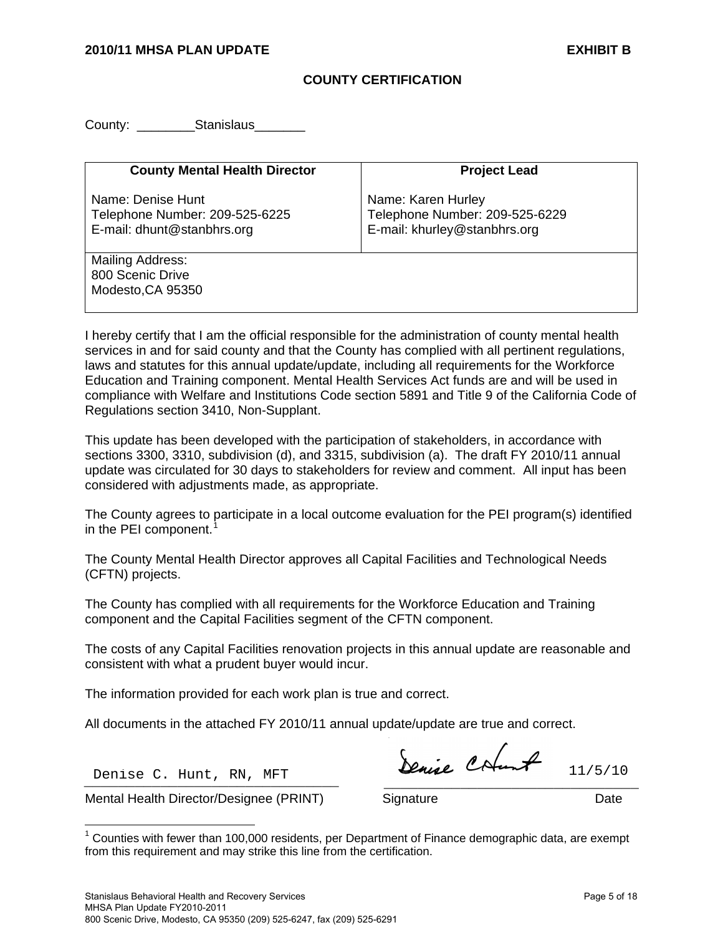### **COUNTY CERTIFICATION**

County: Stanislaus

| <b>County Mental Health Director</b>                                              | <b>Project Lead</b>                                                                  |
|-----------------------------------------------------------------------------------|--------------------------------------------------------------------------------------|
| Name: Denise Hunt<br>Telephone Number: 209-525-6225<br>E-mail: dhunt@stanbhrs.org | Name: Karen Hurley<br>Telephone Number: 209-525-6229<br>E-mail: khurley@stanbhrs.org |
| Mailing Address:<br>800 Scenic Drive<br>Modesto, CA 95350                         |                                                                                      |

I hereby certify that I am the official responsible for the administration of county mental health services in and for said county and that the County has complied with all pertinent regulations, laws and statutes for this annual update/update, including all requirements for the Workforce Education and Training component. Mental Health Services Act funds are and will be used in compliance with Welfare and Institutions Code section 5891 and Title 9 of the California Code of Regulations section 3410, Non-Supplant.

This update has been developed with the participation of stakeholders, in accordance with sections 3300, 3310, subdivision (d), and 3315, subdivision (a). The draft FY 2010/11 annual update was circulated for 30 days to stakeholders for review and comment. All input has been considered with adjustments made, as appropriate.

The County agrees to participate in a local outcome evaluation for the PEI program(s) identified in the PEI component. $1$ 

The County Mental Health Director approves all Capital Facilities and Technological Needs (CFTN) projects.

The County has complied with all requirements for the Workforce Education and Training component and the Capital Facilities segment of the CFTN component.

The costs of any Capital Facilities renovation projects in this annual update are reasonable and consistent with what a prudent buyer would incur.

The information provided for each work plan is true and correct.

All documents in the attached FY 2010/11 annual update/update are true and correct.

Denise C. Hunt, RN, MFT 224/22 Cross 11/5/10

Mental Health Director/Designee (PRINT) Signature Signature Date

 $\overline{a}$ 

<span id="page-5-0"></span> $1$  Counties with fewer than 100,000 residents, per Department of Finance demographic data, are exempt from this requirement and may strike this line from the certification.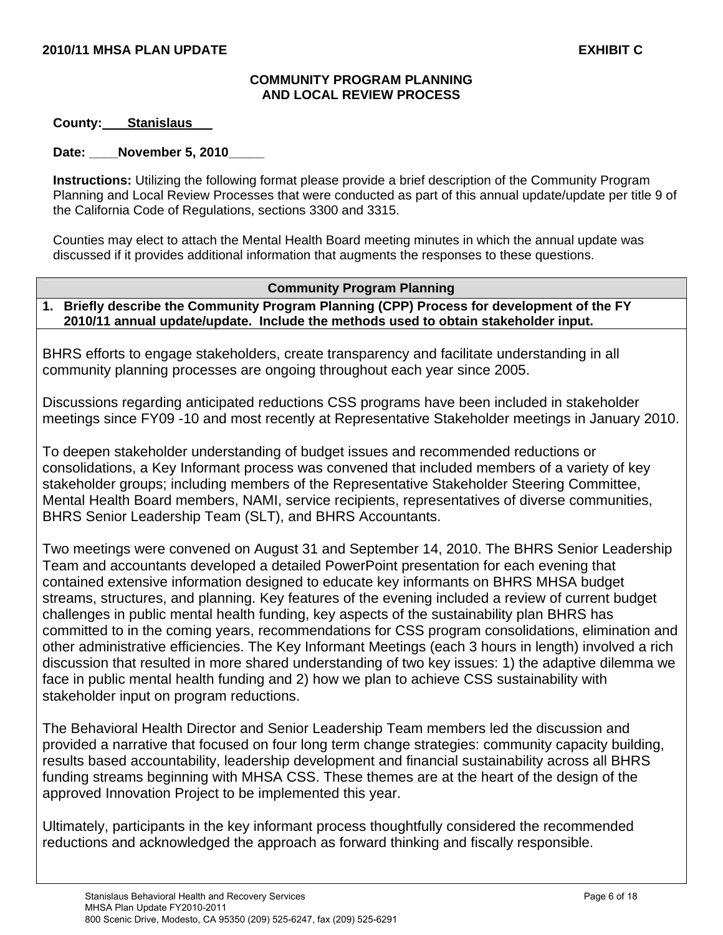### **COMMUNITY PROGRAM PLANNING AND LOCAL REVIEW PROCESS**

**County: County:** 

### Date: November 5, 2010

**Instructions:** Utilizing the following format please provide a brief description of the Community Program Planning and Local Review Processes that were conducted as part of this annual update/update per title 9 of the California Code of Regulations, sections 3300 and 3315.

Counties may elect to attach the Mental Health Board meeting minutes in which the annual update was discussed if it provides additional information that augments the responses to these questions.

### **Community Program Planning**

**1. Briefly describe the Community Program Planning (CPP) Process for development of the FY 2010/11 annual update/update. Include the methods used to obtain stakeholder input.** 

BHRS efforts to engage stakeholders, create transparency and facilitate understanding in all community planning processes are ongoing throughout each year since 2005.

Discussions regarding anticipated reductions CSS programs have been included in stakeholder meetings since FY09 -10 and most recently at Representative Stakeholder meetings in January 2010.

To deepen stakeholder understanding of budget issues and recommended reductions or consolidations, a Key Informant process was convened that included members of a variety of key stakeholder groups; including members of the Representative Stakeholder Steering Committee, Mental Health Board members, NAMI, service recipients, representatives of diverse communities, BHRS Senior Leadership Team (SLT), and BHRS Accountants.

Two meetings were convened on August 31 and September 14, 2010. The BHRS Senior Leadership Team and accountants developed a detailed PowerPoint presentation for each evening that contained extensive information designed to educate key informants on BHRS MHSA budget streams, structures, and planning. Key features of the evening included a review of current budget challenges in public mental health funding, key aspects of the sustainability plan BHRS has committed to in the coming years, recommendations for CSS program consolidations, elimination and other administrative efficiencies. The Key Informant Meetings (each 3 hours in length) involved a rich discussion that resulted in more shared understanding of two key issues: 1) the adaptive dilemma we face in public mental health funding and 2) how we plan to achieve CSS sustainability with stakeholder input on program reductions.

The Behavioral Health Director and Senior Leadership Team members led the discussion and provided a narrative that focused on four long term change strategies: community capacity building, results based accountability, leadership development and financial sustainability across all BHRS funding streams beginning with MHSA CSS. These themes are at the heart of the design of the approved Innovation Project to be implemented this year.

Ultimately, participants in the key informant process thoughtfully considered the recommended reductions and acknowledged the approach as forward thinking and fiscally responsible.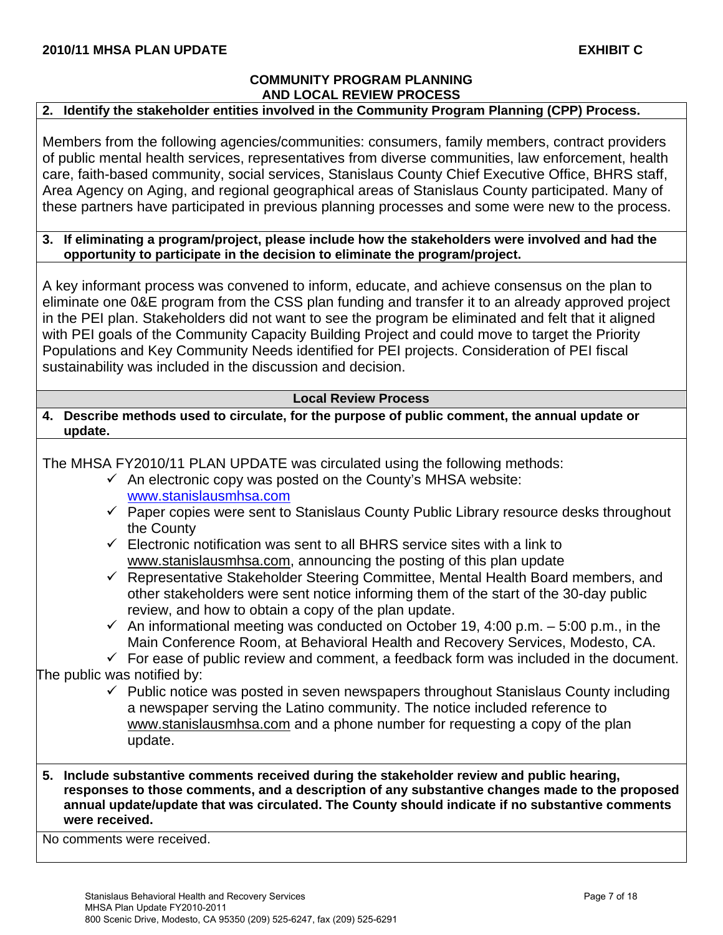### **COMMUNITY PROGRAM PLANNING AND LOCAL REVIEW PROCESS**

### **2. Identify the stakeholder entities involved in the Community Program Planning (CPP) Process.**

Members from the following agencies/communities: consumers, family members, contract providers of public mental health services, representatives from diverse communities, law enforcement, health care, faith-based community, social services, Stanislaus County Chief Executive Office, BHRS staff, Area Agency on Aging, and regional geographical areas of Stanislaus County participated. Many of these partners have participated in previous planning processes and some were new to the process.

### **3. If eliminating a program/project, please include how the stakeholders were involved and had the opportunity to participate in the decision to eliminate the program/project.**

A key informant process was convened to inform, educate, and achieve consensus on the plan to eliminate one 0&E program from the CSS plan funding and transfer it to an already approved project in the PEI plan. Stakeholders did not want to see the program be eliminated and felt that it aligned with PEI goals of the Community Capacity Building Project and could move to target the Priority Populations and Key Community Needs identified for PEI projects. Consideration of PEI fiscal sustainability was included in the discussion and decision.

### **Local Review Process**

**4. Describe methods used to circulate, for the purpose of public comment, the annual update or update.** 

The MHSA FY2010/11 PLAN UPDATE was circulated using the following methods:

- $\checkmark$  An electronic copy was posted on the County's MHSA website: [www.stanislausmhsa.com](http://www.stanislausmhsa.com/)
- $\checkmark$  Paper copies were sent to Stanislaus County Public Library resource desks throughout the County
- $\checkmark$  Electronic notification was sent to all BHRS service sites with a link to [www.stanislausmhsa.com](http://www.stanislausmhsa.com/), announcing the posting of this plan update
- $\checkmark$  Representative Stakeholder Steering Committee, Mental Health Board members, and other stakeholders were sent notice informing them of the start of the 30-day public review, and how to obtain a copy of the plan update.
- $\checkmark$  An informational meeting was conducted on October 19, 4:00 p.m. 5:00 p.m., in the Main Conference Room, at Behavioral Health and Recovery Services, Modesto, CA.

 $\checkmark$  For ease of public review and comment, a feedback form was included in the document. The public was notified by:

> $\checkmark$  Public notice was posted in seven newspapers throughout Stanislaus County including a newspaper serving the Latino community. The notice included reference to [www.stanislausmhsa.com](http://www.stanislausmhsa.com/) and a phone number for requesting a copy of the plan update.

### **5. Include substantive comments received during the stakeholder review and public hearing, responses to those comments, and a description of any substantive changes made to the proposed annual update/update that was circulated. The County should indicate if no substantive comments were received.**

No comments were received.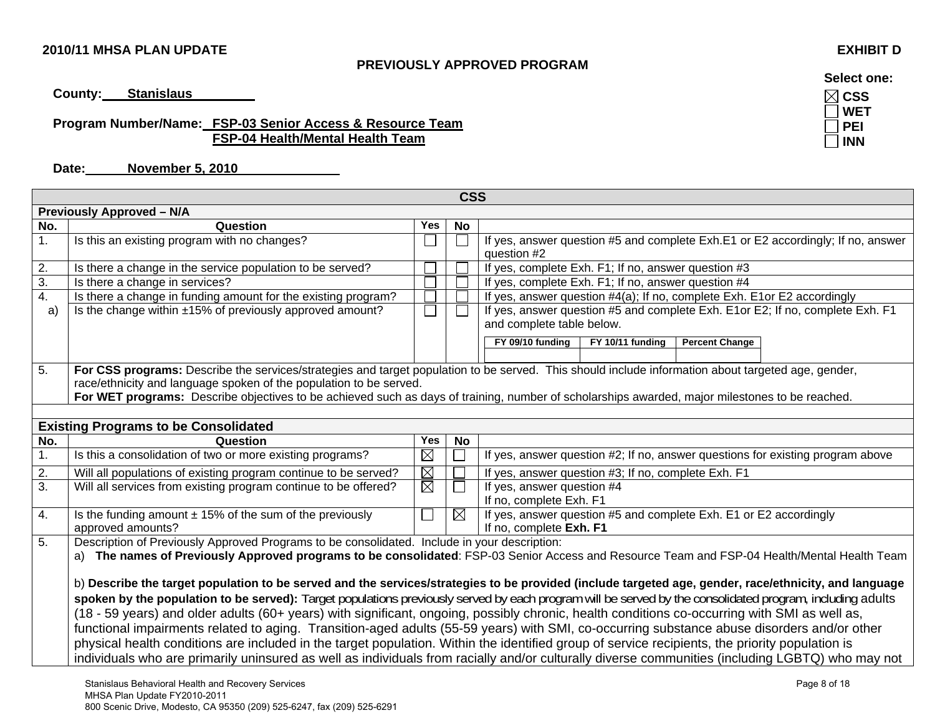### **2010/11 MHSA PLAN UPDATE EXHIBIT D**

### **PREVIOUSLY APPROVED PROGRAM**

**County: Stanislaus** 

### **Program Number/Name: FSP-03 Senior Access & Resource Team FSP-04 Health/Mental Health Team**

| <b>November 5, 2010</b><br>Date: |
|----------------------------------|
|----------------------------------|

|                  | <b>CSS</b>                                                                                                                                                                                                                                                                                                                                                                                                                                                                                                                                                                                                                                                                                                                                                                                                                                                                                                                                                                                                                                                                                                                                                                |             |             |                                                                                                                                                                             |  |  |  |  |  |
|------------------|---------------------------------------------------------------------------------------------------------------------------------------------------------------------------------------------------------------------------------------------------------------------------------------------------------------------------------------------------------------------------------------------------------------------------------------------------------------------------------------------------------------------------------------------------------------------------------------------------------------------------------------------------------------------------------------------------------------------------------------------------------------------------------------------------------------------------------------------------------------------------------------------------------------------------------------------------------------------------------------------------------------------------------------------------------------------------------------------------------------------------------------------------------------------------|-------------|-------------|-----------------------------------------------------------------------------------------------------------------------------------------------------------------------------|--|--|--|--|--|
|                  | <b>Previously Approved - N/A</b>                                                                                                                                                                                                                                                                                                                                                                                                                                                                                                                                                                                                                                                                                                                                                                                                                                                                                                                                                                                                                                                                                                                                          |             |             |                                                                                                                                                                             |  |  |  |  |  |
| No.              | Question                                                                                                                                                                                                                                                                                                                                                                                                                                                                                                                                                                                                                                                                                                                                                                                                                                                                                                                                                                                                                                                                                                                                                                  | Yes         | No          |                                                                                                                                                                             |  |  |  |  |  |
| $\overline{1}$ . | Is this an existing program with no changes?                                                                                                                                                                                                                                                                                                                                                                                                                                                                                                                                                                                                                                                                                                                                                                                                                                                                                                                                                                                                                                                                                                                              |             |             | If yes, answer question #5 and complete Exh.E1 or E2 accordingly; If no, answer<br>question #2                                                                              |  |  |  |  |  |
| $\overline{2}$ . | Is there a change in the service population to be served?                                                                                                                                                                                                                                                                                                                                                                                                                                                                                                                                                                                                                                                                                                                                                                                                                                                                                                                                                                                                                                                                                                                 |             |             | If yes, complete Exh. F1; If no, answer question #3                                                                                                                         |  |  |  |  |  |
| $\overline{3}$ . | Is there a change in services?                                                                                                                                                                                                                                                                                                                                                                                                                                                                                                                                                                                                                                                                                                                                                                                                                                                                                                                                                                                                                                                                                                                                            |             |             | If yes, complete Exh. F1; If no, answer question #4                                                                                                                         |  |  |  |  |  |
| $\overline{4}$ . | Is there a change in funding amount for the existing program?                                                                                                                                                                                                                                                                                                                                                                                                                                                                                                                                                                                                                                                                                                                                                                                                                                                                                                                                                                                                                                                                                                             |             |             | If yes, answer question #4(a); If no, complete Exh. E1or E2 accordingly                                                                                                     |  |  |  |  |  |
| a)               | Is the change within ±15% of previously approved amount?                                                                                                                                                                                                                                                                                                                                                                                                                                                                                                                                                                                                                                                                                                                                                                                                                                                                                                                                                                                                                                                                                                                  |             |             | If yes, answer question #5 and complete Exh. E1or E2; If no, complete Exh. F1<br>and complete table below.<br>FY 09/10 funding<br>FY 10/11 funding<br><b>Percent Change</b> |  |  |  |  |  |
| 5.               | For CSS programs: Describe the services/strategies and target population to be served. This should include information about targeted age, gender,<br>race/ethnicity and language spoken of the population to be served.<br>For WET programs: Describe objectives to be achieved such as days of training, number of scholarships awarded, major milestones to be reached.                                                                                                                                                                                                                                                                                                                                                                                                                                                                                                                                                                                                                                                                                                                                                                                                |             |             |                                                                                                                                                                             |  |  |  |  |  |
|                  |                                                                                                                                                                                                                                                                                                                                                                                                                                                                                                                                                                                                                                                                                                                                                                                                                                                                                                                                                                                                                                                                                                                                                                           |             |             |                                                                                                                                                                             |  |  |  |  |  |
|                  | <b>Existing Programs to be Consolidated</b>                                                                                                                                                                                                                                                                                                                                                                                                                                                                                                                                                                                                                                                                                                                                                                                                                                                                                                                                                                                                                                                                                                                               |             |             |                                                                                                                                                                             |  |  |  |  |  |
| No.              | Question                                                                                                                                                                                                                                                                                                                                                                                                                                                                                                                                                                                                                                                                                                                                                                                                                                                                                                                                                                                                                                                                                                                                                                  | <b>Yes</b>  | <b>No</b>   |                                                                                                                                                                             |  |  |  |  |  |
| $\overline{1}$ . | Is this a consolidation of two or more existing programs?                                                                                                                                                                                                                                                                                                                                                                                                                                                                                                                                                                                                                                                                                                                                                                                                                                                                                                                                                                                                                                                                                                                 | $\boxtimes$ |             | If yes, answer question #2; If no, answer questions for existing program above                                                                                              |  |  |  |  |  |
| $\overline{2}$ . | Will all populations of existing program continue to be served?                                                                                                                                                                                                                                                                                                                                                                                                                                                                                                                                                                                                                                                                                                                                                                                                                                                                                                                                                                                                                                                                                                           | $\boxtimes$ |             | If yes, answer question #3; If no, complete Exh. F1                                                                                                                         |  |  |  |  |  |
| $\overline{3}$ . | Will all services from existing program continue to be offered?                                                                                                                                                                                                                                                                                                                                                                                                                                                                                                                                                                                                                                                                                                                                                                                                                                                                                                                                                                                                                                                                                                           | $\boxtimes$ |             | If yes, answer question #4<br>If no, complete Exh. F1                                                                                                                       |  |  |  |  |  |
| 4.               | Is the funding amount $\pm$ 15% of the sum of the previously<br>approved amounts?                                                                                                                                                                                                                                                                                                                                                                                                                                                                                                                                                                                                                                                                                                                                                                                                                                                                                                                                                                                                                                                                                         | L           | $\boxtimes$ | If yes, answer question #5 and complete Exh. E1 or E2 accordingly<br>If no, complete Exh. F1                                                                                |  |  |  |  |  |
| 5.               | Description of Previously Approved Programs to be consolidated. Include in your description:<br>a) The names of Previously Approved programs to be consolidated: FSP-03 Senior Access and Resource Team and FSP-04 Health/Mental Health Team<br>b) Describe the target population to be served and the services/strategies to be provided (include targeted age, gender, race/ethnicity, and language<br>spoken by the population to be served): Target populations previously served by each program will be served by the consolidated program, including adults<br>(18 - 59 years) and older adults (60+ years) with significant, ongoing, possibly chronic, health conditions co-occurring with SMI as well as,<br>functional impairments related to aging. Transition-aged adults (55-59 years) with SMI, co-occurring substance abuse disorders and/or other<br>physical health conditions are included in the target population. Within the identified group of service recipients, the priority population is<br>individuals who are primarily uninsured as well as individuals from racially and/or culturally diverse communities (including LGBTQ) who may not |             |             |                                                                                                                                                                             |  |  |  |  |  |



**Select one:** 

| CSS |
|-----|
| WET |
| PFI |
| INN |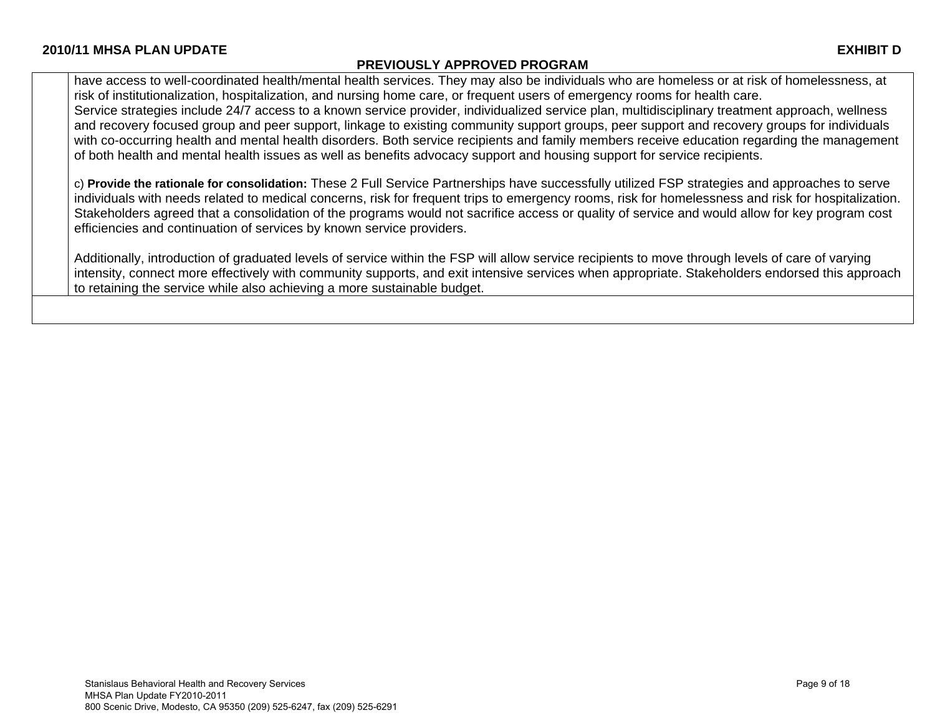### **PREVIOUSLY APPROVED PROGRAM**

have access to well-coordinated health/mental health services. They may also be individuals who are homeless or at risk of homelessness, at risk of institutionalization, hospitalization, and nursing home care, or frequent users of emergency rooms for health care. Service strategies include 24/7 access to a known service provider, individualized service plan, multidisciplinary treatment approach, wellness and recovery focused group and peer support, linkage to existing community support groups, peer support and recovery groups for individuals with co-occurring health and mental health disorders. Both service recipients and family members receive education regarding the management of both health and mental health issues as well as benefits advocacy support and housing support for service recipients.

c) **Provide the rationale for consolidation:** These 2 Full Service Partnerships have successfully utilized FSP strategies and approaches to serve individuals with needs related to medical concerns, risk for frequent trips to emergency rooms, risk for homelessness and risk for hospitalization. Stakeholders agreed that a consolidation of the programs would not sacrifice access or quality of service and would allow for key program cost efficiencies and continuation of services by known service providers.

Additionally, introduction of graduated levels of service within the FSP will allow service recipients to move through levels of care of varying intensity, connect more effectively with community supports, and exit intensive services when appropriate. Stakeholders endorsed this approach to retaining the service while also achieving a more sustainable budget.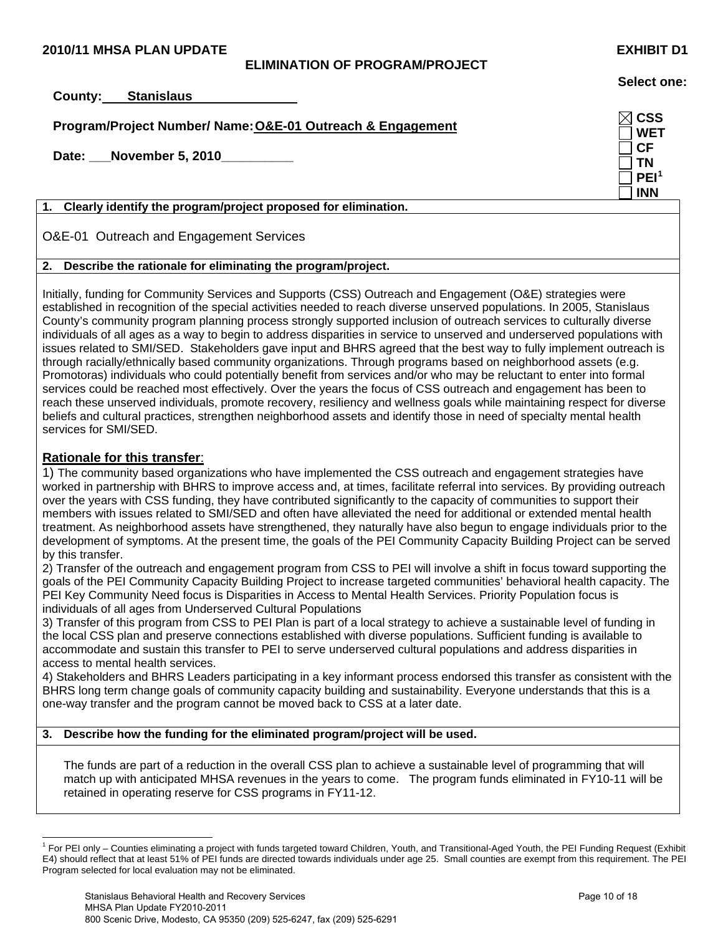### **2010/11 MHSA PLAN UPDATE EXHIBIT D1**

### **ELIMINATION OF PROGRAM/PROJECT**

**County: Stanislaus** 

**Program/Project Number/ Name: O&E-01 Outreach & Engagement**

**Date:** November 5, 2010

### **1. Clearly identify the program/project proposed for elimination.**

O&E-01 Outreach and Engagement Services

### **2. Describe the rationale for eliminating the program/project.**

Initially, funding for Community Services and Supports (CSS) Outreach and Engagement (O&E) strategies were established in recognition of the special activities needed to reach diverse unserved populations. In 2005, Stanislaus County's community program planning process strongly supported inclusion of outreach services to culturally diverse individuals of all ages as a way to begin to address disparities in service to unserved and underserved populations with issues related to SMI/SED. Stakeholders gave input and BHRS agreed that the best way to fully implement outreach is through racially/ethnically based community organizations. Through programs based on neighborhood assets (e.g. Promotoras) individuals who could potentially benefit from services and/or who may be reluctant to enter into formal services could be reached most effectively. Over the years the focus of CSS outreach and engagement has been to reach these unserved individuals, promote recovery, resiliency and wellness goals while maintaining respect for diverse beliefs and cultural practices, strengthen neighborhood assets and identify those in need of specialty mental health services for SMI/SED.

### **Rationale for this transfer**:

1) The community based organizations who have implemented the CSS outreach and engagement strategies have worked in partnership with BHRS to improve access and, at times, facilitate referral into services. By providing outreach over the years with CSS funding, they have contributed significantly to the capacity of communities to support their members with issues related to SMI/SED and often have alleviated the need for additional or extended mental health treatment. As neighborhood assets have strengthened, they naturally have also begun to engage individuals prior to the development of symptoms. At the present time, the goals of the PEI Community Capacity Building Project can be served by this transfer.

2) Transfer of the outreach and engagement program from CSS to PEI will involve a shift in focus toward supporting the goals of the PEI Community Capacity Building Project to increase targeted communities' behavioral health capacity. The PEI Key Community Need focus is Disparities in Access to Mental Health Services. Priority Population focus is individuals of all ages from Underserved Cultural Populations

3) Transfer of this program from CSS to PEI Plan is part of a local strategy to achieve a sustainable level of funding in the local CSS plan and preserve connections established with diverse populations. Sufficient funding is available to accommodate and sustain this transfer to PEI to serve underserved cultural populations and address disparities in access to mental health services.

4) Stakeholders and BHRS Leaders participating in a key informant process endorsed this transfer as consistent with the BHRS long term change goals of community capacity building and sustainability. Everyone understands that this is a one-way transfer and the program cannot be moved back to CSS at a later date.

### **3. Describe how the funding for the eliminated program/project will be used.**

The funds are part of a reduction in the overall CSS plan to achieve a sustainable level of programming that will match up with anticipated MHSA revenues in the years to come. The program funds eliminated in FY10-11 will be retained in operating reserve for CSS programs in FY11-12.

**Select one:** 

 $\boxtimes$  CSS  **WET CF TN**   $PEI<sup>1</sup>$  $PEI<sup>1</sup>$  $PEI<sup>1</sup>$  **INN** 

<span id="page-10-0"></span>l <sup>1</sup> For PEI only – Counties eliminating a project with funds targeted toward Children, Youth, and Transitional-Aged Youth, the PEI Funding Request (Exhibit E4) should reflect that at least 51% of PEI funds are directed towards individuals under age 25. Small counties are exempt from this requirement. The PEI Program selected for local evaluation may not be eliminated.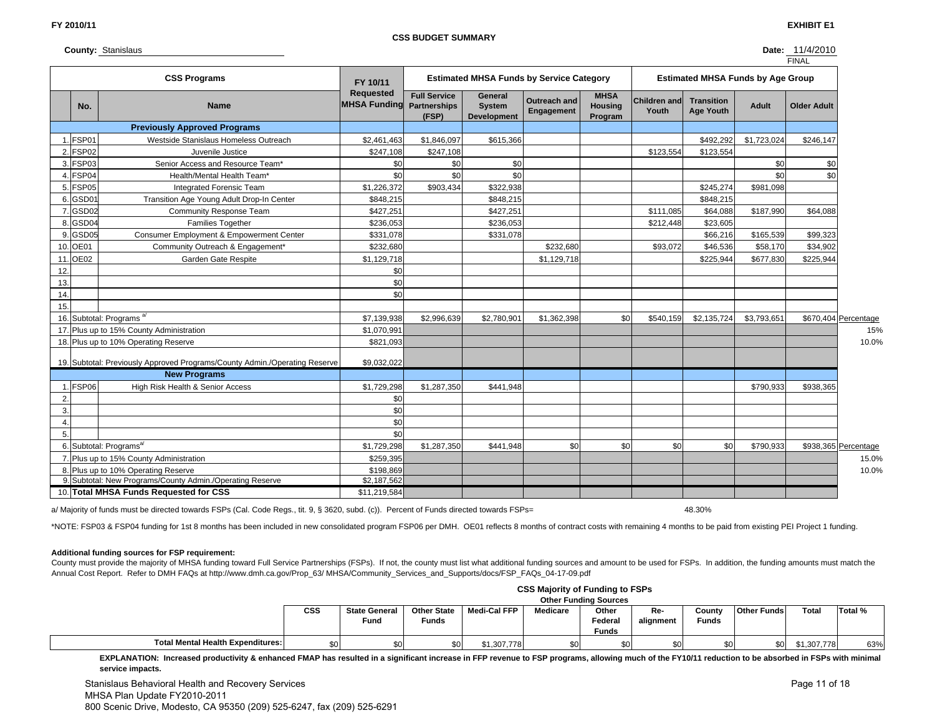**County:**

### Stanislaus **Date:** 11/4/2010 FINAL

|                                          | <b>CSS Programs</b>                                                        | FY 10/11                                |                                                     | <b>Estimated MHSA Funds by Service Category</b> |                            |                                          | <b>Estimated MHSA Funds by Age Group</b> |                                |             |                    |                      |
|------------------------------------------|----------------------------------------------------------------------------|-----------------------------------------|-----------------------------------------------------|-------------------------------------------------|----------------------------|------------------------------------------|------------------------------------------|--------------------------------|-------------|--------------------|----------------------|
| No.                                      | <b>Name</b>                                                                | <b>Requested</b><br><b>MHSA Funding</b> | <b>Full Service</b><br><b>Partnerships</b><br>(FSP) | General<br><b>System</b><br><b>Development</b>  | Outreach and<br>Engagement | <b>MHSA</b><br><b>Housing</b><br>Program | Children and<br>Youth                    | <b>Transition</b><br>Age Youth | Adult       | <b>Older Adult</b> |                      |
|                                          | <b>Previously Approved Programs</b>                                        |                                         |                                                     |                                                 |                            |                                          |                                          |                                |             |                    |                      |
| FSP01                                    | Westside Stanislaus Homeless Outreach                                      | \$2,461,463                             | \$1,846,097                                         | \$615,366                                       |                            |                                          |                                          | \$492,292                      | \$1,723,024 | \$246,147          |                      |
| 2. FSP02                                 | Juvenile Justice                                                           | \$247,108                               | \$247,108                                           |                                                 |                            |                                          | \$123,554                                | \$123,554                      |             |                    |                      |
| 3. FSP03                                 | Senior Access and Resource Team*                                           | \$0                                     | \$0                                                 | \$0                                             |                            |                                          |                                          |                                | \$0         | \$0                |                      |
| FSP04                                    | Health/Mental Health Team*                                                 | \$0                                     | \$0                                                 | \$0                                             |                            |                                          |                                          |                                | \$0         | \$0                |                      |
| 5. FSP05                                 | <b>Integrated Forensic Team</b>                                            | \$1,226,372                             | \$903,434                                           | \$322,938                                       |                            |                                          |                                          | \$245,274                      | \$981,098   |                    |                      |
| 6. GSD01                                 | Transition Age Young Adult Drop-In Center                                  | \$848,215                               |                                                     | \$848,215                                       |                            |                                          |                                          | \$848,215                      |             |                    |                      |
| GSD <sub>02</sub>                        | Community Response Team                                                    | \$427,251                               |                                                     | \$427,251                                       |                            |                                          | \$111,085                                | \$64,088                       | \$187,990   | \$64,088           |                      |
| GSD04<br>8.                              | <b>Families Together</b>                                                   | \$236,053                               |                                                     | \$236,053                                       |                            |                                          | \$212,448                                | \$23,605                       |             |                    |                      |
| GSD <sub>05</sub><br>9.                  | Consumer Employment & Empowerment Center                                   | \$331,078                               |                                                     | \$331,078                                       |                            |                                          |                                          | \$66,216                       | \$165,539   | \$99,323           |                      |
| 10. OE01                                 | Community Outreach & Engagement*                                           | \$232,680                               |                                                     |                                                 | \$232,680                  |                                          | \$93,072                                 | \$46,536                       | \$58,170    | \$34,902           |                      |
| 11. OE02                                 | Garden Gate Respite                                                        | \$1,129,718                             |                                                     |                                                 | \$1,129,718                |                                          |                                          | \$225,944                      | \$677,830   | \$225,944          |                      |
| 12.                                      |                                                                            | \$0                                     |                                                     |                                                 |                            |                                          |                                          |                                |             |                    |                      |
| 13.                                      |                                                                            | \$0                                     |                                                     |                                                 |                            |                                          |                                          |                                |             |                    |                      |
| 14.                                      |                                                                            | \$0                                     |                                                     |                                                 |                            |                                          |                                          |                                |             |                    |                      |
| 15.                                      |                                                                            |                                         |                                                     |                                                 |                            |                                          |                                          |                                |             |                    |                      |
| 16. Subtotal: Programs <sup>a/</sup>     |                                                                            | \$7,139,938                             | \$2,996,639                                         | \$2,780,901                                     | \$1,362,398                | \$0                                      | \$540,159                                | \$2,135,724                    | \$3,793,651 |                    | \$670,404 Percentage |
| 17. Plus up to 15% County Administration |                                                                            | \$1,070,991                             |                                                     |                                                 |                            |                                          |                                          |                                |             |                    | 15%                  |
| 18. Plus up to 10% Operating Reserve     |                                                                            | \$821,093                               |                                                     |                                                 |                            |                                          |                                          |                                |             |                    | 10.0%                |
|                                          | 19. Subtotal: Previously Approved Programs/County Admin./Operating Reserve | \$9,032,022                             |                                                     |                                                 |                            |                                          |                                          |                                |             |                    |                      |
|                                          | <b>New Programs</b>                                                        |                                         |                                                     |                                                 |                            |                                          |                                          |                                |             |                    |                      |
| 1. FSP06                                 | High Risk Health & Senior Access                                           | \$1,729,298                             | \$1,287,350                                         | \$441,948                                       |                            |                                          |                                          |                                | \$790,933   | \$938,365          |                      |
| 2                                        |                                                                            | \$0                                     |                                                     |                                                 |                            |                                          |                                          |                                |             |                    |                      |
| 3.                                       |                                                                            | \$0                                     |                                                     |                                                 |                            |                                          |                                          |                                |             |                    |                      |
| 4.                                       |                                                                            | \$0                                     |                                                     |                                                 |                            |                                          |                                          |                                |             |                    |                      |
| 5.                                       |                                                                            | \$0                                     |                                                     |                                                 |                            |                                          |                                          |                                |             |                    |                      |
| 6. Subtotal: Programs <sup>a/</sup>      |                                                                            | \$1,729,298                             | \$1,287,350                                         | \$441,948                                       | \$0                        | \$0                                      | \$0                                      | \$0                            | \$790,933   |                    | \$938,365 Percentage |
| 7. Plus up to 15% County Administration  |                                                                            | \$259,395                               |                                                     |                                                 |                            |                                          |                                          |                                |             |                    | 15.0%                |
| 8. Plus up to 10% Operating Reserve      |                                                                            | \$198,869                               |                                                     |                                                 |                            |                                          |                                          |                                |             |                    | 10.0%                |
|                                          | 9. Subtotal: New Programs/County Admin./Operating Reserve                  | \$2,187,562                             |                                                     |                                                 |                            |                                          |                                          |                                |             |                    |                      |
| 10. Total MHSA Funds Requested for CSS   |                                                                            | \$11,219,584                            |                                                     |                                                 |                            |                                          |                                          |                                |             |                    |                      |

a/ Majority of funds must be directed towards FSPs (Cal. Code Regs., tit. 9, § 3620, subd. (c)). Percent of Funds directed towards FSPs= 48.30%

\*NOTE: FSP03 & FSP04 funding for 1st 8 months has been included in new consolidated program FSP06 per DMH. OE01 reflects 8 months of contract costs with remaining 4 months to be paid from existing PEI Project 1 funding.

### **Additional funding sources for FSP requirement:**

County must provide the majority of MHSA funding toward Full Service Partnerships (FSPs). If not, the county must list what additional funding sources and amount to be used for FSPs. In addition, the funding amounts must m Annual Cost Report. Refer to DMH FAQs at http://www.dmh.ca.gov/Prop\_63/ MHSA/Community\_Services\_and\_Supports/docs/FSP\_FAQs\_04-17-09.pdf

|                                          |            | <b>CSS Majority of Funding to FSPs</b> |                    |              |                 |              |           |              |                    |             |         |
|------------------------------------------|------------|----------------------------------------|--------------------|--------------|-----------------|--------------|-----------|--------------|--------------------|-------------|---------|
|                                          |            | <b>Other Funding Sources</b>           |                    |              |                 |              |           |              |                    |             |         |
|                                          | <b>CSS</b> | <b>State General</b>                   | <b>Other State</b> | Medi-Cal FFP | <b>Medicare</b> | Other        | Re-       | County       | <b>Other Funds</b> | Total       | Total % |
|                                          |            | Fund                                   | Funds              |              |                 | Federal      | alignment | <b>Funds</b> |                    |             |         |
|                                          |            |                                        |                    |              |                 | <b>Funds</b> |           |              |                    |             |         |
| <b>Total Mental Health Expenditures:</b> | \$0        |                                        | \$0                | \$1,307,778  |                 | \$0          | \$0       |              | \$0                | \$1,307,778 | 63%     |

EXPLANATION: Increased productivity & enhanced FMAP has resulted in a significant increase in FFP revenue to FSP programs, allowing much of the FY10/11 reduction to be absorbed in FSPs with minimal **service impacts.**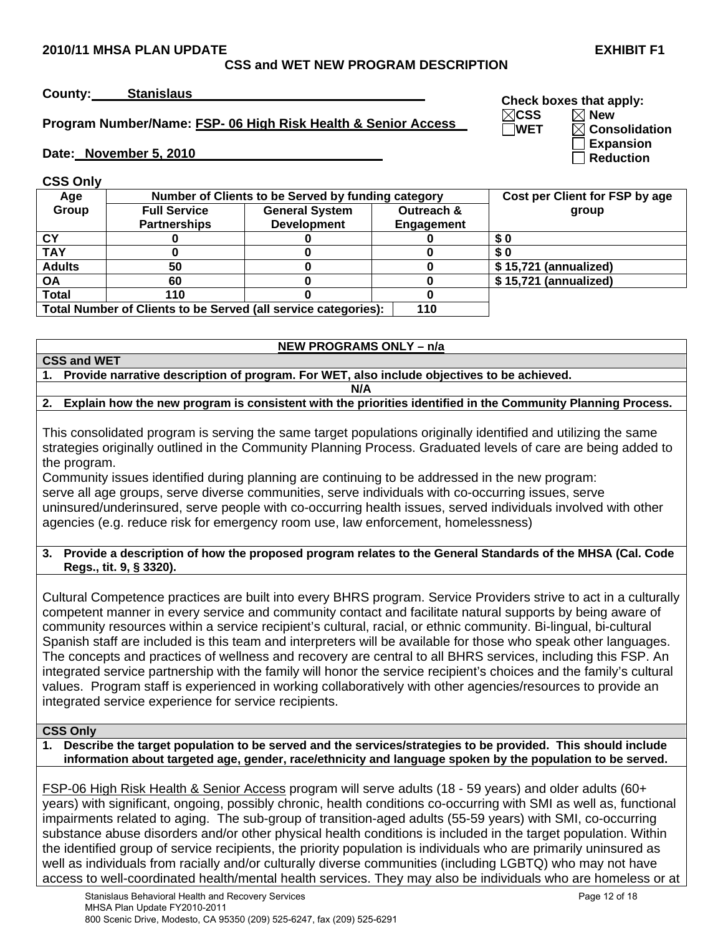### **2010/11 MHSA PLAN UPDATE EXHIBIT F1**

### **CSS and WET NEW PROGRAM DESCRIPTION**

**County: Stanislaus** 

**Program Number/Name: FSP- 06 High Risk Health & Senior Access** 

### **Check boxes that apply:**

 $\boxtimes$  New

 $\boxtimes$ **CSS**  $\square$ WET

 **Consolidation** 

 **Expansion Reduction** 

**Date: November 5, 2010** 

### **CSS Only**

**CSS and WET** 

| Age           |                                                                | Number of Clients to be Served by funding category |            | Cost per Client for FSP by age |
|---------------|----------------------------------------------------------------|----------------------------------------------------|------------|--------------------------------|
| Group         | <b>Full Service</b>                                            | <b>General System</b>                              | Outreach & | group                          |
|               | <b>Partnerships</b>                                            | <b>Development</b>                                 | Engagement |                                |
| СY            |                                                                |                                                    |            | <b>SO</b>                      |
| <b>TAY</b>    |                                                                |                                                    |            |                                |
| <b>Adults</b> | 50                                                             |                                                    |            | \$15,721 (annualized)          |
| <b>OA</b>     | 60                                                             |                                                    |            | \$15,721 (annualized)          |
| <b>Total</b>  | 110                                                            |                                                    |            |                                |
|               | Total Number of Clients to be Served (all service categories): |                                                    | 110        |                                |

### **NEW PROGRAMS ONLY – n/a**

**1. Provide narrative description of program. For WET, also include objectives to be achieved.** 

**N/A** 

### **2. Explain how the new program is consistent with the priorities identified in the Community Planning Process.**

This consolidated program is serving the same target populations originally identified and utilizing the same strategies originally outlined in the Community Planning Process. Graduated levels of care are being added to the program.

Community issues identified during planning are continuing to be addressed in the new program: serve all age groups, serve diverse communities, serve individuals with co-occurring issues, serve uninsured/underinsured, serve people with co-occurring health issues, served individuals involved with other agencies (e.g. reduce risk for emergency room use, law enforcement, homelessness)

### **3. Provide a description of how the proposed program relates to the General Standards of the MHSA (Cal. Code Regs., tit. 9, § 3320).**

Cultural Competence practices are built into every BHRS program. Service Providers strive to act in a culturally competent manner in every service and community contact and facilitate natural supports by being aware of community resources within a service recipient's cultural, racial, or ethnic community. Bi-lingual, bi-cultural Spanish staff are included is this team and interpreters will be available for those who speak other languages. The concepts and practices of wellness and recovery are central to all BHRS services, including this FSP. An integrated service partnership with the family will honor the service recipient's choices and the family's cultural values. Program staff is experienced in working collaboratively with other agencies/resources to provide an integrated service experience for service recipients.

### **CSS Only**

**1. Describe the target population to be served and the services/strategies to be provided. This should include information about targeted age, gender, race/ethnicity and language spoken by the population to be served.** 

FSP-06 High Risk Health & Senior Access program will serve adults (18 - 59 years) and older adults (60+ years) with significant, ongoing, possibly chronic, health conditions co-occurring with SMI as well as, functional impairments related to aging. The sub-group of transition-aged adults (55-59 years) with SMI, co-occurring substance abuse disorders and/or other physical health conditions is included in the target population. Within the identified group of service recipients, the priority population is individuals who are primarily uninsured as well as individuals from racially and/or culturally diverse communities (including LGBTQ) who may not have access to well-coordinated health/mental health services. They may also be individuals who are homeless or at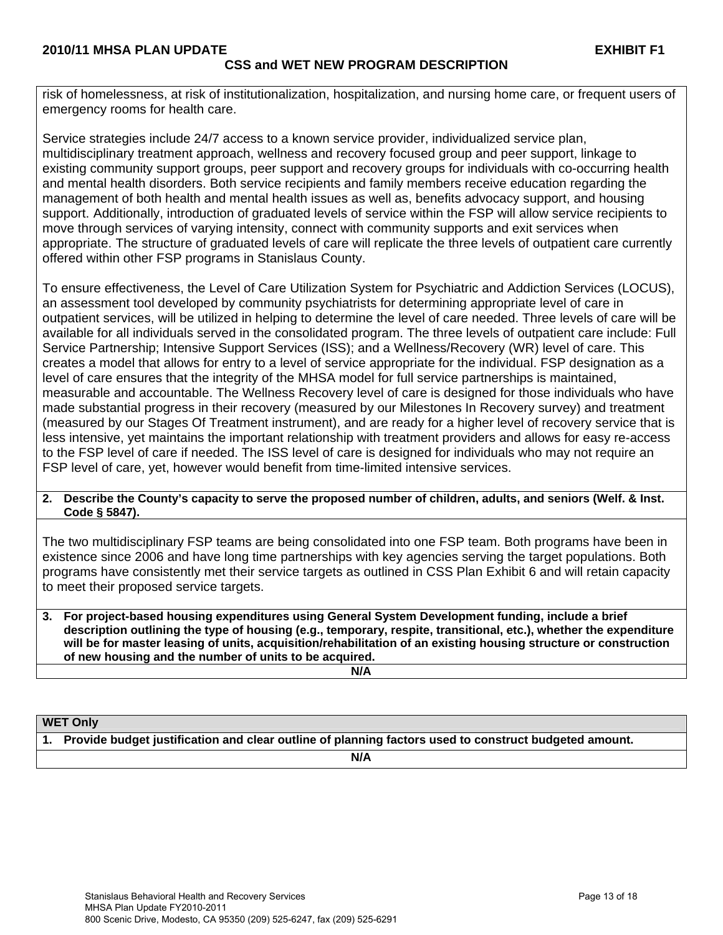### **CSS and WET NEW PROGRAM DESCRIPTION**

risk of homelessness, at risk of institutionalization, hospitalization, and nursing home care, or frequent users of emergency rooms for health care.

Service strategies include 24/7 access to a known service provider, individualized service plan, multidisciplinary treatment approach, wellness and recovery focused group and peer support, linkage to existing community support groups, peer support and recovery groups for individuals with co-occurring health and mental health disorders. Both service recipients and family members receive education regarding the management of both health and mental health issues as well as, benefits advocacy support, and housing support. Additionally, introduction of graduated levels of service within the FSP will allow service recipients to move through services of varying intensity, connect with community supports and exit services when appropriate. The structure of graduated levels of care will replicate the three levels of outpatient care currently offered within other FSP programs in Stanislaus County.

To ensure effectiveness, the Level of Care Utilization System for Psychiatric and Addiction Services (LOCUS), an assessment tool developed by community psychiatrists for determining appropriate level of care in outpatient services, will be utilized in helping to determine the level of care needed. Three levels of care will be available for all individuals served in the consolidated program. The three levels of outpatient care include: Full Service Partnership; Intensive Support Services (ISS); and a Wellness/Recovery (WR) level of care. This creates a model that allows for entry to a level of service appropriate for the individual. FSP designation as a level of care ensures that the integrity of the MHSA model for full service partnerships is maintained, measurable and accountable. The Wellness Recovery level of care is designed for those individuals who have made substantial progress in their recovery (measured by our Milestones In Recovery survey) and treatment (measured by our Stages Of Treatment instrument), and are ready for a higher level of recovery service that is less intensive, yet maintains the important relationship with treatment providers and allows for easy re-access to the FSP level of care if needed. The ISS level of care is designed for individuals who may not require an FSP level of care, yet, however would benefit from time-limited intensive services.

### **2. Describe the County's capacity to serve the proposed number of children, adults, and seniors (Welf. & Inst. Code § 5847).**

The two multidisciplinary FSP teams are being consolidated into one FSP team. Both programs have been in existence since 2006 and have long time partnerships with key agencies serving the target populations. Both programs have consistently met their service targets as outlined in CSS Plan Exhibit 6 and will retain capacity to meet their proposed service targets.

### **3. For project-based housing expenditures using General System Development funding, include a brief description outlining the type of housing (e.g., temporary, respite, transitional, etc.), whether the expenditure will be for master leasing of units, acquisition/rehabilitation of an existing housing structure or construction of new housing and the number of units to be acquired.**

**N/A** 

### **WET Only**

**1. Provide budget justification and clear outline of planning factors used to construct budgeted amount.** 

**N/A**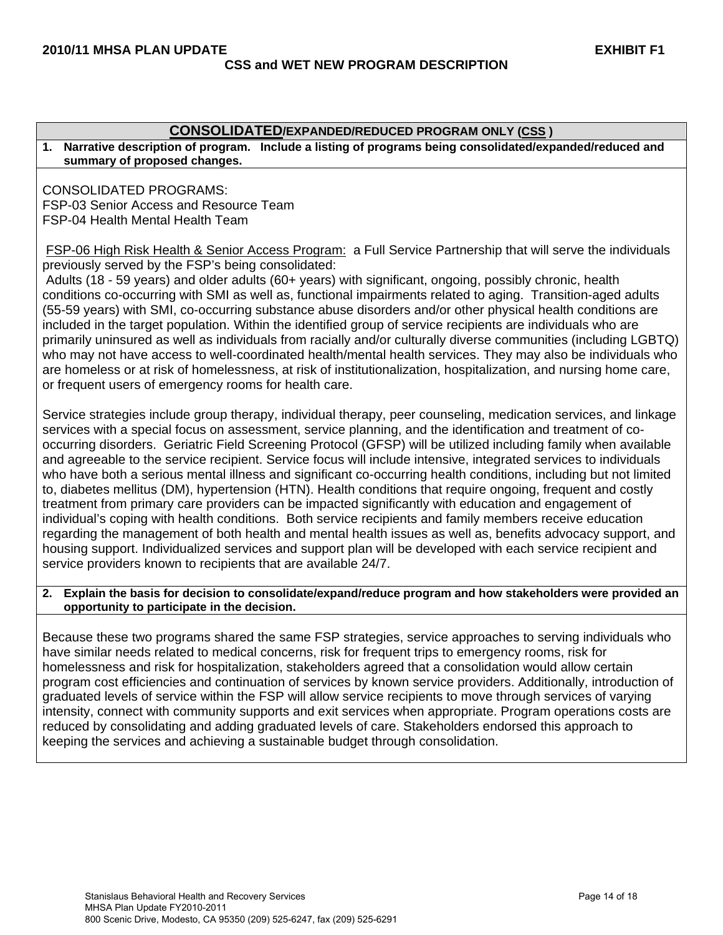### **CSS and WET NEW PROGRAM DESCRIPTION**

### **CONSOLIDATED/EXPANDED/REDUCED PROGRAM ONLY (CSS )**

**1. Narrative description of program. Include a listing of programs being consolidated/expanded/reduced and summary of proposed changes.**

### CONSOLIDATED PROGRAMS: FSP-03 Senior Access and Resource Team FSP-04 Health Mental Health Team

FSP-06 High Risk Health & Senior Access Program: a Full Service Partnership that will serve the individuals previously served by the FSP's being consolidated:

 Adults (18 - 59 years) and older adults (60+ years) with significant, ongoing, possibly chronic, health conditions co-occurring with SMI as well as, functional impairments related to aging. Transition-aged adults (55-59 years) with SMI, co-occurring substance abuse disorders and/or other physical health conditions are included in the target population. Within the identified group of service recipients are individuals who are primarily uninsured as well as individuals from racially and/or culturally diverse communities (including LGBTQ) who may not have access to well-coordinated health/mental health services. They may also be individuals who are homeless or at risk of homelessness, at risk of institutionalization, hospitalization, and nursing home care, or frequent users of emergency rooms for health care.

Service strategies include group therapy, individual therapy, peer counseling, medication services, and linkage services with a special focus on assessment, service planning, and the identification and treatment of cooccurring disorders. Geriatric Field Screening Protocol (GFSP) will be utilized including family when available and agreeable to the service recipient. Service focus will include intensive, integrated services to individuals who have both a serious mental illness and significant co-occurring health conditions, including but not limited to, diabetes mellitus (DM), hypertension (HTN). Health conditions that require ongoing, frequent and costly treatment from primary care providers can be impacted significantly with education and engagement of individual's coping with health conditions. Both service recipients and family members receive education regarding the management of both health and mental health issues as well as, benefits advocacy support, and housing support. Individualized services and support plan will be developed with each service recipient and service providers known to recipients that are available 24/7.

### **2. Explain the basis for decision to consolidate/expand/reduce program and how stakeholders were provided an opportunity to participate in the decision.**

Because these two programs shared the same FSP strategies, service approaches to serving individuals who have similar needs related to medical concerns, risk for frequent trips to emergency rooms, risk for homelessness and risk for hospitalization, stakeholders agreed that a consolidation would allow certain program cost efficiencies and continuation of services by known service providers. Additionally, introduction of graduated levels of service within the FSP will allow service recipients to move through services of varying intensity, connect with community supports and exit services when appropriate. Program operations costs are reduced by consolidating and adding graduated levels of care. Stakeholders endorsed this approach to keeping the services and achieving a sustainable budget through consolidation.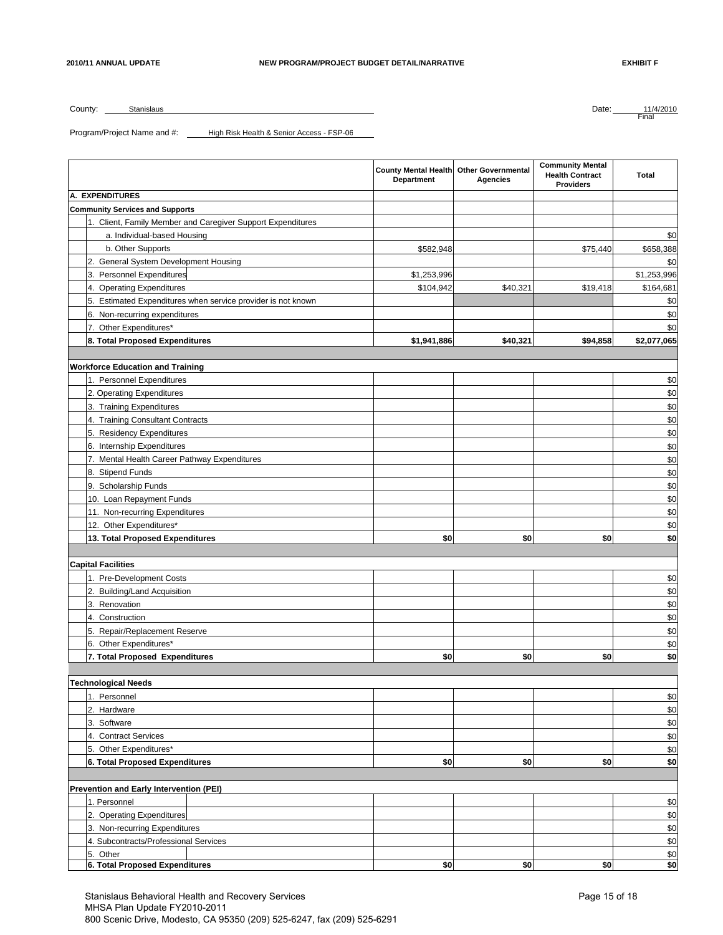### **2010/11 ANNUAL UPDATE NEW PROGRAM/PROJECT BUDGET DETAIL/NARRATIVE EXHIBIT F**

Date: 11/4/2010

County: Date: 11/4/2010 Stanislaus

Program/Project Name and #: High Risk Health & Senior Access - FSP-06

|                                                              | <b>County Mental Health</b><br>Department | <b>Other Governmental</b><br><b>Agencies</b> | <b>Community Mental</b><br><b>Health Contract</b><br><b>Providers</b> | <b>Total</b> |
|--------------------------------------------------------------|-------------------------------------------|----------------------------------------------|-----------------------------------------------------------------------|--------------|
| <b>A. EXPENDITURES</b>                                       |                                           |                                              |                                                                       |              |
| <b>Community Services and Supports</b>                       |                                           |                                              |                                                                       |              |
| 1. Client, Family Member and Caregiver Support Expenditures  |                                           |                                              |                                                                       |              |
| a. Individual-based Housing                                  |                                           |                                              |                                                                       | \$0          |
| b. Other Supports                                            | \$582,948                                 |                                              | \$75,440                                                              | \$658,388    |
| 2. General System Development Housing                        |                                           |                                              |                                                                       | \$0          |
| 3. Personnel Expenditures                                    | \$1,253,996                               |                                              |                                                                       | \$1,253,996  |
| 4. Operating Expenditures                                    | \$104,942                                 | \$40,321                                     | \$19,418                                                              | \$164,681    |
| 5. Estimated Expenditures when service provider is not known |                                           |                                              |                                                                       | \$0          |
| 6. Non-recurring expenditures                                |                                           |                                              |                                                                       | \$0          |
| 7. Other Expenditures*                                       |                                           |                                              |                                                                       | \$0          |
| 8. Total Proposed Expenditures                               | \$1,941,886                               | \$40,321                                     | \$94,858                                                              | \$2,077,065  |
|                                                              |                                           |                                              |                                                                       |              |
| <b>Workforce Education and Training</b>                      |                                           |                                              |                                                                       |              |
| 1. Personnel Expenditures                                    |                                           |                                              |                                                                       | \$0          |
| 2. Operating Expenditures                                    |                                           |                                              |                                                                       | \$0          |
| 3. Training Expenditures                                     |                                           |                                              |                                                                       | \$0          |
| 4. Training Consultant Contracts                             |                                           |                                              |                                                                       | \$0          |
| 5. Residency Expenditures                                    |                                           |                                              |                                                                       | \$0          |
| 6. Internship Expenditures                                   |                                           |                                              |                                                                       | \$0          |
| 7. Mental Health Career Pathway Expenditures                 |                                           |                                              |                                                                       | \$0          |
| 8. Stipend Funds                                             |                                           |                                              |                                                                       | \$0          |
| 9. Scholarship Funds                                         |                                           |                                              |                                                                       | \$0          |
| 10. Loan Repayment Funds                                     |                                           |                                              |                                                                       | \$0          |
| 11. Non-recurring Expenditures                               |                                           |                                              |                                                                       | \$0          |
| 12. Other Expenditures*                                      |                                           |                                              |                                                                       | \$0          |
| 13. Total Proposed Expenditures                              | \$0                                       | \$0                                          | \$0                                                                   | \$0          |
|                                                              |                                           |                                              |                                                                       |              |
| <b>Capital Facilities</b>                                    |                                           |                                              |                                                                       |              |
| <b>Pre-Development Costs</b>                                 |                                           |                                              |                                                                       | \$0          |
| 2. Building/Land Acquisition                                 |                                           |                                              |                                                                       | \$0          |
| 3. Renovation                                                |                                           |                                              |                                                                       | \$0          |
| 4. Construction                                              |                                           |                                              |                                                                       | \$0          |
| 5. Repair/Replacement Reserve                                |                                           |                                              |                                                                       | \$0          |
| 6. Other Expenditures*                                       |                                           |                                              |                                                                       | \$0          |
| 7. Total Proposed Expenditures                               | \$0                                       | \$0                                          | \$0                                                                   | \$0          |
|                                                              |                                           |                                              |                                                                       |              |
| <b>Technological Needs</b>                                   |                                           |                                              |                                                                       |              |
| 1. Personnel                                                 |                                           |                                              |                                                                       | \$0          |
| 2. Hardware                                                  |                                           |                                              |                                                                       | \$0          |
| 3. Software                                                  |                                           |                                              |                                                                       | \$0          |
| 4. Contract Services                                         |                                           |                                              |                                                                       | \$0          |
| 5. Other Expenditures*                                       |                                           |                                              |                                                                       | \$0          |
| 6. Total Proposed Expenditures                               | \$0                                       | \$0                                          | \$0                                                                   | \$0          |
|                                                              |                                           |                                              |                                                                       |              |
| <b>Prevention and Early Intervention (PEI)</b>               |                                           |                                              |                                                                       |              |
| 1. Personnel                                                 |                                           |                                              |                                                                       | \$0          |
| 2. Operating Expenditures                                    |                                           |                                              |                                                                       | \$0          |
| 3. Non-recurring Expenditures                                |                                           |                                              |                                                                       | $\$0$        |
| 4. Subcontracts/Professional Services                        |                                           |                                              |                                                                       | \$0          |
| 5. Other                                                     |                                           |                                              |                                                                       | \$0          |
| 6. Total Proposed Expenditures                               | \$0                                       | \$0                                          | \$0                                                                   | \$0          |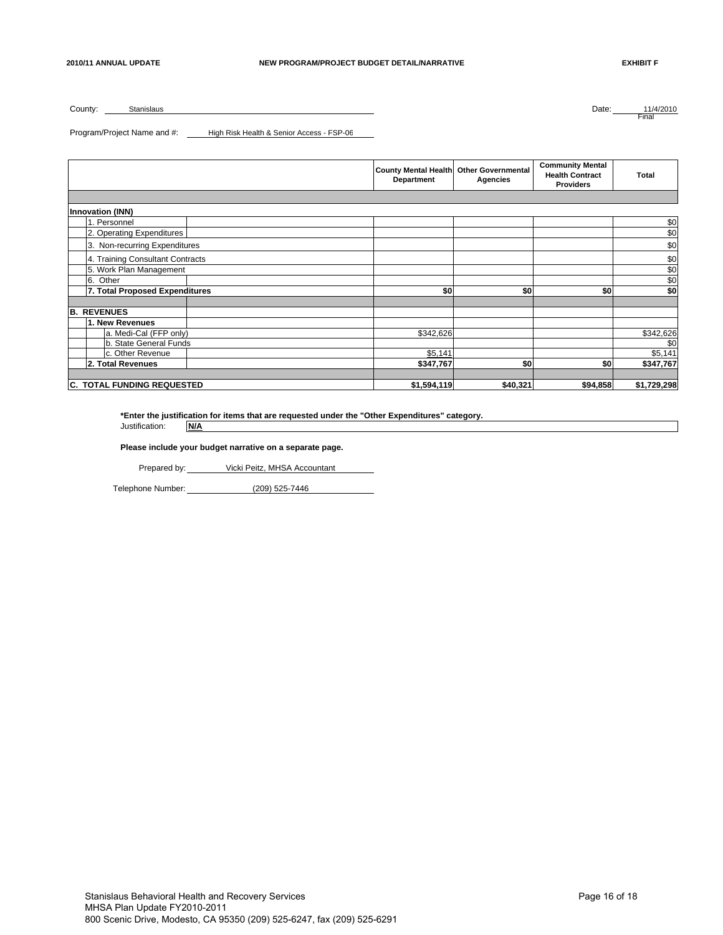### **2010/11 ANNUAL UPDATE NEW PROGRAM/PROJECT BUDGET DETAIL/NARRATIVE EXHIBIT F**

Stanislaus

County: Stanislaus 11/4/2010 Stanislaus 2012 12:00 Stanislaus 2012 12:00 2012 12:00 2012 12:00 2012 12:00 2012 **Final** 

Program/Project Name and #: High Risk Health & Senior Access - FSP-06

**County Mental Health Other Governmental Department Agencies Community Mental Health Contract Providers Total** 1. Personnel \$0 2. Operating Expenditures \$0 3. Non-recurring Expenditures \$0 4. Training Consultant Contracts 60 to 10 to 10 to 10 to 10 to 10 to 10 to 10 to 10 to 10 to 10 to 10 to 10 to 10 to 10 to 10 to 10 to 10 to 10 to 10 to 10 to 10 to 10 to 10 to 10 to 10 to 10 to 10 to 10 to 10 to 10 to 10 5. Work Plan Management \$0 6. Other \$0 **7. Total Proposed Expenditures \$0 \$0 \$0 \$0 1. New Revenues** a. Medi-Cal (FFP only) \$342,626 \$342,626 \$342,626 \$342,626 \$342,626 \$342,626 \$342,626 \$342,626 \$342,626 \$342,626 b. State General Funds c. Other Revenue \$5,141 \$5,141 **2. Total Revenues \$347,767 \$0 \$0 \$347,767 C. TOTAL FUNDING REQUESTED \$1,594,119 \$40,321 \$94,858 \$1,729,298 Innovation (INN) B. REVENUES**

**\*Enter the justification for items that are requested under the "Other Expenditures" category.**  Justification: **N/A**

**Please include your budget narrative on a separate page.**

Prepared by: Vicki Peitz, MHSA Accountant

Telephone Number: (209) 525-7446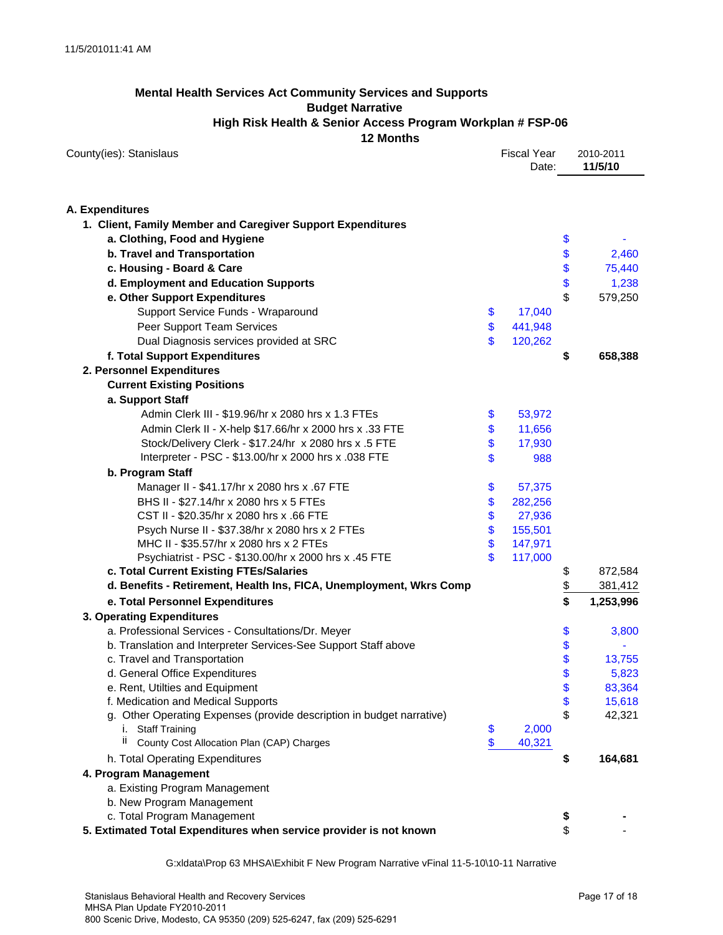### **Budget Narrative High Risk Health & Senior Access Program Workplan # FSP-06 12 Months Mental Health Services Act Community Services and Supports**

| County(ies): Stanislaus                                               |               | <b>Fiscal Year</b><br>Date: | 2010-2011<br>11/5/10 |
|-----------------------------------------------------------------------|---------------|-----------------------------|----------------------|
|                                                                       |               |                             |                      |
| A. Expenditures                                                       |               |                             |                      |
| 1. Client, Family Member and Caregiver Support Expenditures           |               |                             |                      |
| a. Clothing, Food and Hygiene                                         |               |                             | \$                   |
| b. Travel and Transportation                                          |               |                             | \$<br>2,460          |
| c. Housing - Board & Care                                             |               |                             | \$<br>75,440         |
| d. Employment and Education Supports                                  |               |                             | \$<br>1,238          |
| e. Other Support Expenditures                                         |               |                             | \$<br>579,250        |
| Support Service Funds - Wraparound                                    | \$            | 17,040                      |                      |
| Peer Support Team Services                                            | \$            | 441,948                     |                      |
| Dual Diagnosis services provided at SRC                               | $\mathbf{\$}$ | 120,262                     |                      |
| f. Total Support Expenditures                                         |               |                             | \$<br>658,388        |
| 2. Personnel Expenditures                                             |               |                             |                      |
| <b>Current Existing Positions</b>                                     |               |                             |                      |
| a. Support Staff                                                      |               |                             |                      |
| Admin Clerk III - \$19.96/hr x 2080 hrs x 1.3 FTEs                    | \$            | 53,972                      |                      |
| Admin Clerk II - X-help \$17.66/hr x 2000 hrs x .33 FTE               | \$            | 11,656                      |                      |
| Stock/Delivery Clerk - \$17.24/hr x 2080 hrs x .5 FTE                 | \$            | 17,930                      |                      |
| Interpreter - PSC - \$13.00/hr x 2000 hrs x .038 FTE                  | \$            | 988                         |                      |
| b. Program Staff                                                      |               |                             |                      |
| Manager II - \$41.17/hr x 2080 hrs x .67 FTE                          | \$            | 57,375                      |                      |
| BHS II - \$27.14/hr x 2080 hrs x 5 FTEs                               | \$            | 282,256                     |                      |
| CST II - \$20.35/hr x 2080 hrs x .66 FTE                              | \$            | 27,936                      |                      |
| Psych Nurse II - \$37.38/hr x 2080 hrs x 2 FTEs                       | \$            | 155,501                     |                      |
| MHC II - \$35.57/hr x 2080 hrs x 2 FTEs                               | \$            | 147,971                     |                      |
| Psychiatrist - PSC - \$130.00/hr x 2000 hrs x .45 FTE                 | $\mathbf{\$}$ | 117,000                     |                      |
| c. Total Current Existing FTEs/Salaries                               |               |                             | \$<br>872,584        |
| d. Benefits - Retirement, Health Ins, FICA, Unemployment, Wkrs Comp   |               |                             | \$<br>381,412        |
| e. Total Personnel Expenditures                                       |               |                             | \$<br>1,253,996      |
| 3. Operating Expenditures                                             |               |                             |                      |
| a. Professional Services - Consultations/Dr. Meyer                    |               |                             | \$<br>3,800          |
| b. Translation and Interpreter Services-See Support Staff above       |               |                             | \$                   |
| c. Travel and Transportation                                          |               |                             | \$<br>13,755         |
| d. General Office Expenditures                                        |               |                             | 5,823                |
| e. Rent, Utilties and Equipment                                       |               |                             | \$<br>83,364         |
| f. Medication and Medical Supports                                    |               |                             | 15,618               |
| g. Other Operating Expenses (provide description in budget narrative) |               |                             | \$<br>42,321         |
| i. Staff Training                                                     | \$            | 2,000                       |                      |
| Ш<br>County Cost Allocation Plan (CAP) Charges                        | \$            | 40,321                      |                      |
| h. Total Operating Expenditures                                       |               |                             | \$<br>164,681        |
| 4. Program Management                                                 |               |                             |                      |
| a. Existing Program Management                                        |               |                             |                      |
| b. New Program Management                                             |               |                             |                      |
| c. Total Program Management                                           |               |                             | \$                   |
| 5. Extimated Total Expenditures when service provider is not known    |               |                             | \$                   |

G:xldata\Prop 63 MHSA\Exhibit F New Program Narrative vFinal 11-5-10\10-11 Narrative